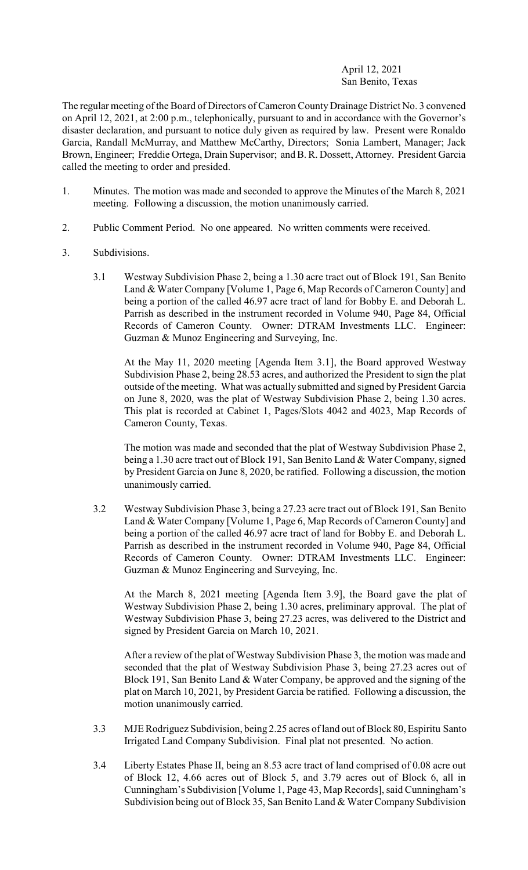## April 12, 2021 San Benito, Texas

The regular meeting of the Board of Directors of Cameron County Drainage District No. 3 convened on April 12, 2021, at 2:00 p.m., telephonically, pursuant to and in accordance with the Governor's disaster declaration, and pursuant to notice duly given as required by law. Present were Ronaldo Garcia, Randall McMurray, and Matthew McCarthy, Directors; Sonia Lambert, Manager; Jack Brown, Engineer; Freddie Ortega, Drain Supervisor; and B. R. Dossett, Attorney. President Garcia called the meeting to order and presided.

- 1. Minutes. The motion was made and seconded to approve the Minutes of the March 8, 2021 meeting. Following a discussion, the motion unanimously carried.
- 2. Public Comment Period. No one appeared. No written comments were received.
- 3. Subdivisions.
	- 3.1 Westway Subdivision Phase 2, being a 1.30 acre tract out of Block 191, San Benito Land & Water Company [Volume 1, Page 6, Map Records of Cameron County] and being a portion of the called 46.97 acre tract of land for Bobby E. and Deborah L. Parrish as described in the instrument recorded in Volume 940, Page 84, Official Records of Cameron County. Owner: DTRAM Investments LLC. Engineer: Guzman & Munoz Engineering and Surveying, Inc.

At the May 11, 2020 meeting [Agenda Item 3.1], the Board approved Westway Subdivision Phase 2, being 28.53 acres, and authorized the President to sign the plat outside of the meeting. What was actually submitted and signed by President Garcia on June 8, 2020, was the plat of Westway Subdivision Phase 2, being 1.30 acres. This plat is recorded at Cabinet 1, Pages/Slots 4042 and 4023, Map Records of Cameron County, Texas.

The motion was made and seconded that the plat of Westway Subdivision Phase 2, being a 1.30 acre tract out of Block 191, San Benito Land & Water Company, signed by President Garcia on June 8, 2020, be ratified. Following a discussion, the motion unanimously carried.

3.2 Westway Subdivision Phase 3, being a 27.23 acre tract out of Block 191, San Benito Land & Water Company [Volume 1, Page 6, Map Records of Cameron County] and being a portion of the called 46.97 acre tract of land for Bobby E. and Deborah L. Parrish as described in the instrument recorded in Volume 940, Page 84, Official Records of Cameron County. Owner: DTRAM Investments LLC. Engineer: Guzman & Munoz Engineering and Surveying, Inc.

At the March 8, 2021 meeting [Agenda Item 3.9], the Board gave the plat of Westway Subdivision Phase 2, being 1.30 acres, preliminary approval. The plat of Westway Subdivision Phase 3, being 27.23 acres, was delivered to the District and signed by President Garcia on March 10, 2021.

After a review of the plat of Westway Subdivision Phase 3, the motion was made and seconded that the plat of Westway Subdivision Phase 3, being 27.23 acres out of Block 191, San Benito Land & Water Company, be approved and the signing of the plat on March 10, 2021, by President Garcia be ratified. Following a discussion, the motion unanimously carried.

- 3.3 MJE Rodriguez Subdivision, being 2.25 acres of land out of Block 80, Espiritu Santo Irrigated Land Company Subdivision. Final plat not presented. No action.
- 3.4 Liberty Estates Phase II, being an 8.53 acre tract of land comprised of 0.08 acre out of Block 12, 4.66 acres out of Block 5, and 3.79 acres out of Block 6, all in Cunningham's Subdivision [Volume 1, Page 43, Map Records], said Cunningham's Subdivision being out of Block 35, San Benito Land & Water Company Subdivision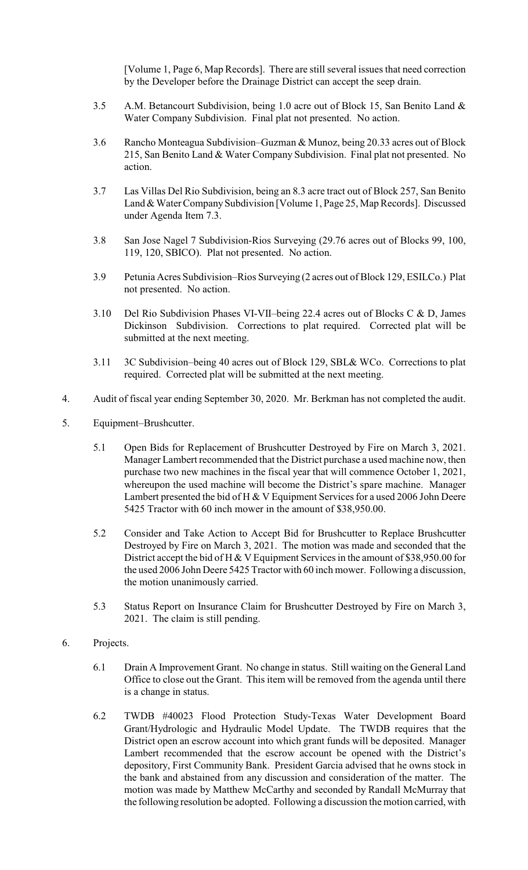[Volume 1, Page 6, Map Records]. There are still several issues that need correction by the Developer before the Drainage District can accept the seep drain.

- 3.5 A.M. Betancourt Subdivision, being 1.0 acre out of Block 15, San Benito Land & Water Company Subdivision. Final plat not presented. No action.
- 3.6 Rancho Monteagua Subdivision–Guzman & Munoz, being 20.33 acres out of Block 215, San Benito Land & Water Company Subdivision. Final plat not presented. No action.
- 3.7 Las Villas Del Rio Subdivision, being an 8.3 acre tract out of Block 257, San Benito Land & Water Company Subdivision [Volume 1, Page 25, Map Records]. Discussed under Agenda Item 7.3.
- 3.8 San Jose Nagel 7 Subdivision-Rios Surveying (29.76 acres out of Blocks 99, 100, 119, 120, SBICO). Plat not presented. No action.
- 3.9 Petunia Acres Subdivision–Rios Surveying (2 acres out of Block 129, ESILCo.) Plat not presented. No action.
- 3.10 Del Rio Subdivision Phases VI-VII–being 22.4 acres out of Blocks C & D, James Dickinson Subdivision. Corrections to plat required. Corrected plat will be submitted at the next meeting.
- 3.11 3C Subdivision–being 40 acres out of Block 129, SBL& WCo. Corrections to plat required. Corrected plat will be submitted at the next meeting.
- 4. Audit of fiscal year ending September 30, 2020. Mr. Berkman has not completed the audit.
- 5. Equipment–Brushcutter.
	- 5.1 Open Bids for Replacement of Brushcutter Destroyed by Fire on March 3, 2021. Manager Lambert recommended that the District purchase a used machine now, then purchase two new machines in the fiscal year that will commence October 1, 2021, whereupon the used machine will become the District's spare machine. Manager Lambert presented the bid of H & V Equipment Services for a used 2006 John Deere 5425 Tractor with 60 inch mower in the amount of \$38,950.00.
	- 5.2 Consider and Take Action to Accept Bid for Brushcutter to Replace Brushcutter Destroyed by Fire on March 3, 2021. The motion was made and seconded that the District accept the bid of H & V Equipment Services in the amount of \$38,950.00 for the used 2006 John Deere 5425 Tractor with 60 inch mower. Following a discussion, the motion unanimously carried.
	- 5.3 Status Report on Insurance Claim for Brushcutter Destroyed by Fire on March 3, 2021. The claim is still pending.
- 6. Projects.
	- 6.1 Drain A Improvement Grant. No change in status. Still waiting on the General Land Office to close out the Grant. This item will be removed from the agenda until there is a change in status.
	- 6.2 TWDB #40023 Flood Protection Study-Texas Water Development Board Grant/Hydrologic and Hydraulic Model Update. The TWDB requires that the District open an escrow account into which grant funds will be deposited. Manager Lambert recommended that the escrow account be opened with the District's depository, First Community Bank. President Garcia advised that he owns stock in the bank and abstained from any discussion and consideration of the matter. The motion was made by Matthew McCarthy and seconded by Randall McMurray that the following resolution be adopted. Following a discussion the motion carried, with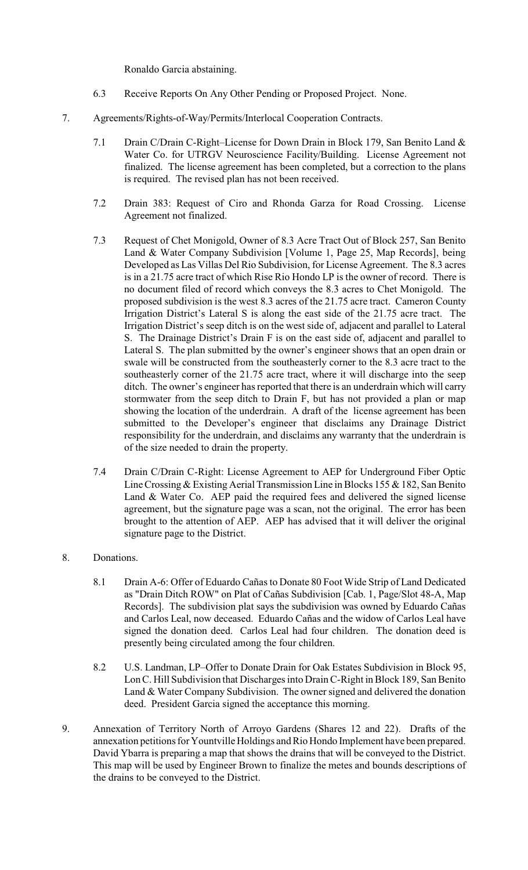Ronaldo Garcia abstaining.

- 6.3 Receive Reports On Any Other Pending or Proposed Project. None.
- 7. Agreements/Rights-of-Way/Permits/Interlocal Cooperation Contracts.
	- 7.1 Drain C/Drain C-Right–License for Down Drain in Block 179, San Benito Land & Water Co. for UTRGV Neuroscience Facility/Building. License Agreement not finalized. The license agreement has been completed, but a correction to the plans is required. The revised plan has not been received.
	- 7.2 Drain 383: Request of Ciro and Rhonda Garza for Road Crossing. License Agreement not finalized.
	- 7.3 Request of Chet Monigold, Owner of 8.3 Acre Tract Out of Block 257, San Benito Land & Water Company Subdivision [Volume 1, Page 25, Map Records], being Developed as Las Villas Del Rio Subdivision, for License Agreement. The 8.3 acres is in a 21.75 acre tract of which Rise Rio Hondo LP is the owner of record. There is no document filed of record which conveys the 8.3 acres to Chet Monigold. The proposed subdivision is the west 8.3 acres of the 21.75 acre tract. Cameron County Irrigation District's Lateral S is along the east side of the 21.75 acre tract. The Irrigation District's seep ditch is on the west side of, adjacent and parallel to Lateral S. The Drainage District's Drain F is on the east side of, adjacent and parallel to Lateral S. The plan submitted by the owner's engineer shows that an open drain or swale will be constructed from the southeasterly corner to the 8.3 acre tract to the southeasterly corner of the 21.75 acre tract, where it will discharge into the seep ditch. The owner's engineer has reported that there is an underdrain which will carry stormwater from the seep ditch to Drain F, but has not provided a plan or map showing the location of the underdrain. A draft of the license agreement has been submitted to the Developer's engineer that disclaims any Drainage District responsibility for the underdrain, and disclaims any warranty that the underdrain is of the size needed to drain the property.
	- 7.4 Drain C/Drain C-Right: License Agreement to AEP for Underground Fiber Optic Line Crossing & Existing Aerial Transmission Line in Blocks 155 & 182, San Benito Land & Water Co. AEP paid the required fees and delivered the signed license agreement, but the signature page was a scan, not the original. The error has been brought to the attention of AEP. AEP has advised that it will deliver the original signature page to the District.
- 8. Donations.
	- 8.1 Drain A-6: Offer of Eduardo Cañas to Donate 80 Foot Wide Strip of Land Dedicated as "Drain Ditch ROW" on Plat of Cañas Subdivision [Cab. 1, Page/Slot 48-A, Map Records]. The subdivision plat says the subdivision was owned by Eduardo Cañas and Carlos Leal, now deceased. Eduardo Cañas and the widow of Carlos Leal have signed the donation deed. Carlos Leal had four children. The donation deed is presently being circulated among the four children.
	- 8.2 U.S. Landman, LP–Offer to Donate Drain for Oak Estates Subdivision in Block 95, Lon C. Hill Subdivision that Discharges into Drain C-Right in Block 189, San Benito Land & Water Company Subdivision. The owner signed and delivered the donation deed. President Garcia signed the acceptance this morning.
- 9. Annexation of Territory North of Arroyo Gardens (Shares 12 and 22). Drafts of the annexation petitions for Yountville Holdings and Rio Hondo Implement have been prepared. David Ybarra is preparing a map that shows the drains that will be conveyed to the District. This map will be used by Engineer Brown to finalize the metes and bounds descriptions of the drains to be conveyed to the District.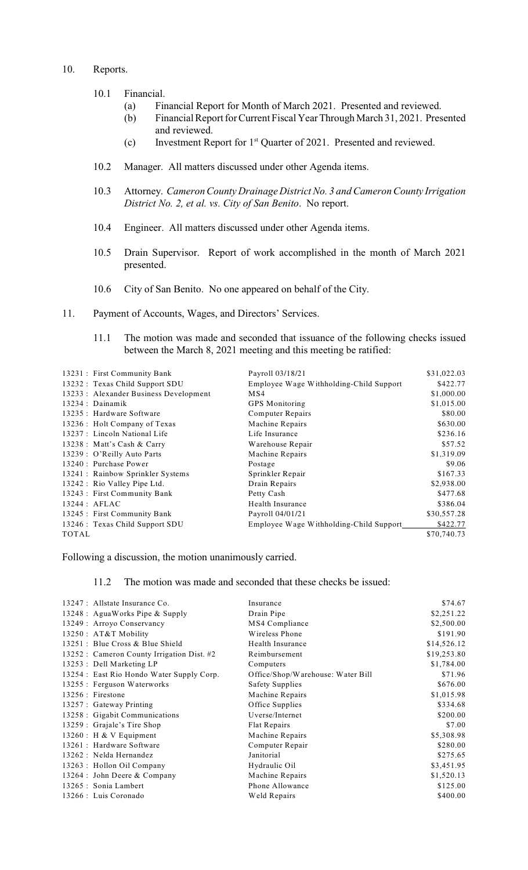## 10. Reports.

## 10.1 Financial.

- (a) Financial Report for Month of March 2021. Presented and reviewed.
- (b) Financial Report for Current Fiscal Year Through March 31, 2021. Presented and reviewed.
- (c) Investment Report for  $1<sup>st</sup>$  Quarter of 2021. Presented and reviewed.
- 10.2 Manager. All matters discussed under other Agenda items.
- 10.3 Attorney. *Cameron County Drainage District No. 3 and Cameron County Irrigation District No. 2, et al. vs. City of San Benito*. No report.
- 10.4 Engineer. All matters discussed under other Agenda items.
- 10.5 Drain Supervisor. Report of work accomplished in the month of March 2021 presented.
- 10.6 City of San Benito. No one appeared on behalf of the City.
- 11. Payment of Accounts, Wages, and Directors' Services.
	- 11.1 The motion was made and seconded that issuance of the following checks issued between the March 8, 2021 meeting and this meeting be ratified:

| 13231 : First Community Bank           | Payroll 03/18/21                        | \$31,022.03 |
|----------------------------------------|-----------------------------------------|-------------|
| 13232 : Texas Child Support SDU        | Employee Wage Withholding-Child Support | \$422.77    |
| 13233 : Alexander Business Development | MS4                                     | \$1,000.00  |
| $13234$ : Dainamik                     | <b>GPS</b> Monitoring                   | \$1,015.00  |
| 13235 : Hardware Software              | <b>Computer Repairs</b>                 | \$80.00     |
| 13236 : Holt Company of Texas          | Machine Repairs                         | \$630.00    |
| 13237 : Lincoln National Life          | Life Insurance                          | \$236.16    |
| 13238 : Matt's Cash & Carry            | Warehouse Repair                        | \$57.52     |
| 13239 : O'Reilly Auto Parts            | Machine Repairs                         | \$1,319.09  |
| 13240 : Purchase Power                 | Postage                                 | \$9.06      |
| 13241 : Rainbow Sprinkler Systems      | Sprinkler Repair                        | \$167.33    |
| 13242 : Rio Valley Pipe Ltd.           | Drain Repairs                           | \$2,938.00  |
| 13243 : First Community Bank           | Petty Cash                              | \$477.68    |
| $13244$ : AFLAC                        | Health Insurance                        | \$386.04    |
| 13245 : First Community Bank           | Payroll 04/01/21                        | \$30,557.28 |
| 13246 : Texas Child Support SDU        | Employee Wage Withholding-Child Support | \$422.77    |
| <b>TOTAL</b>                           |                                         | \$70,740.73 |

Following a discussion, the motion unanimously carried.

## 11.2 The motion was made and seconded that these checks be issued:

| 13247 : Allstate Insurance Co.             | Insurance                         | \$74.67     |
|--------------------------------------------|-----------------------------------|-------------|
| 13248 : AguaWorks Pipe & Supply            | Drain Pipe                        | \$2,251.22  |
| 13249 : Arroyo Conservancy                 | MS4 Compliance                    | \$2,500.00  |
| 13250: AT&T Mobility                       | Wireless Phone                    | \$191.90    |
| 13251 : Blue Cross & Blue Shield           | Health Insurance                  | \$14,526.12 |
| 13252 : Cameron County Irrigation Dist. #2 | Reimbursement                     | \$19,253.80 |
| 13253 : Dell Marketing LP                  | Computers                         | \$1,784.00  |
| 13254 : East Rio Hondo Water Supply Corp.  | Office/Shop/Warehouse: Water Bill | \$71.96     |
| 13255 : Ferguson Waterworks                | <b>Safety Supplies</b>            | \$676.00    |
| 13256 : Firestone                          | Machine Repairs                   | \$1,015.98  |
| 13257 : Gateway Printing                   | Office Supplies                   | \$334.68    |
| 13258 : Gigabit Communications             | Uverse/Internet                   | \$200.00    |
| 13259 : Grajale's Tire Shop                | Flat Repairs                      | \$7.00      |
| 13260 : H & V Equipment                    | Machine Repairs                   | \$5,308.98  |
| 13261 : Hardware Software                  | Computer Repair                   | \$280.00    |
| 13262 : Nelda Hernandez                    | Janitorial                        | \$275.65    |
| 13263 : Hollon Oil Company                 | Hydraulic Oil                     | \$3,451.95  |
| 13264 : John Deere & Company               | Machine Repairs                   | \$1,520.13  |
| 13265 : Sonia Lambert                      | Phone Allowance                   | \$125.00    |
| 13266 : Luis Coronado                      | Weld Repairs                      | \$400.00    |